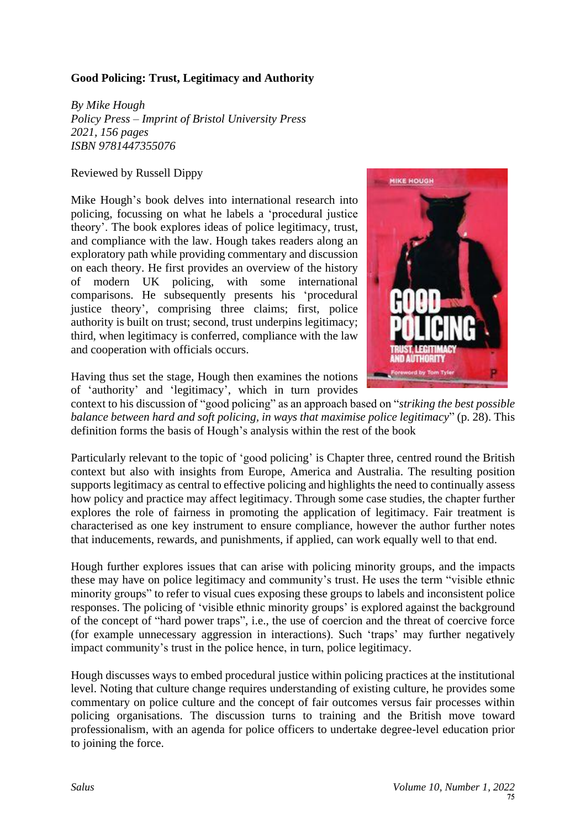## **Good Policing: Trust, Legitimacy and Authority**

*By Mike Hough Policy Press – Imprint of Bristol University Press 2021, 156 pages ISBN 9781447355076*

## Reviewed by Russell Dippy

Mike Hough's book delves into international research into policing, focussing on what he labels a 'procedural justice theory'. The book explores ideas of police legitimacy, trust, and compliance with the law. Hough takes readers along an exploratory path while providing commentary and discussion on each theory. He first provides an overview of the history of modern UK policing, with some international comparisons. He subsequently presents his 'procedural justice theory', comprising three claims; first, police authority is built on trust; second, trust underpins legitimacy; third, when legitimacy is conferred, compliance with the law and cooperation with officials occurs.



Having thus set the stage, Hough then examines the notions of 'authority' and 'legitimacy', which in turn provides

context to his discussion of "good policing" as an approach based on "*striking the best possible balance between hard and soft policing, in ways that maximise police legitimacy*" (p. 28). This definition forms the basis of Hough's analysis within the rest of the book

Particularly relevant to the topic of 'good policing' is Chapter three, centred round the British context but also with insights from Europe, America and Australia. The resulting position supports legitimacy as central to effective policing and highlights the need to continually assess how policy and practice may affect legitimacy. Through some case studies, the chapter further explores the role of fairness in promoting the application of legitimacy. Fair treatment is characterised as one key instrument to ensure compliance, however the author further notes that inducements, rewards, and punishments, if applied, can work equally well to that end.

Hough further explores issues that can arise with policing minority groups, and the impacts these may have on police legitimacy and community's trust. He uses the term "visible ethnic minority groups" to refer to visual cues exposing these groups to labels and inconsistent police responses. The policing of 'visible ethnic minority groups' is explored against the background of the concept of "hard power traps", i.e., the use of coercion and the threat of coercive force (for example unnecessary aggression in interactions). Such 'traps' may further negatively impact community's trust in the police hence, in turn, police legitimacy.

Hough discusses ways to embed procedural justice within policing practices at the institutional level. Noting that culture change requires understanding of existing culture, he provides some commentary on police culture and the concept of fair outcomes versus fair processes within policing organisations. The discussion turns to training and the British move toward professionalism, with an agenda for police officers to undertake degree-level education prior to joining the force.